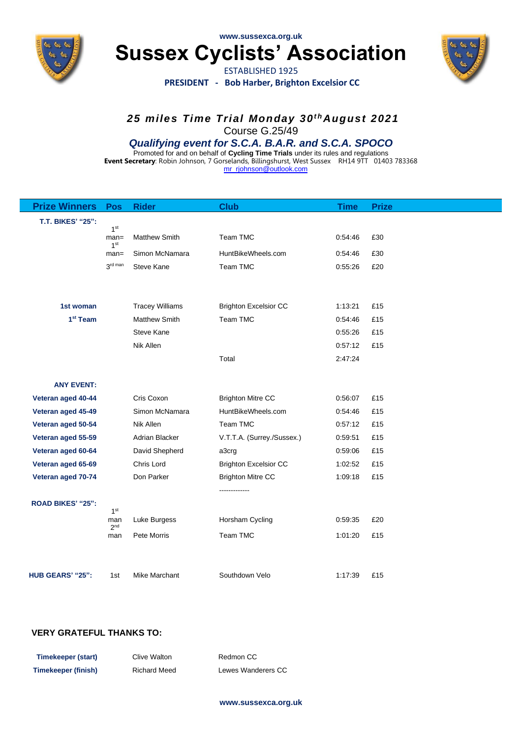

**www.sussexca.org.uk**

**Sussex Cyclists' Association**

ESTABLISHED 1925 **PRESIDENT - Bob Harber, Brighton Excelsior CC**



*25 miles Time Trial Monday 30t hAugust 2021* Course G.25/49

### *Qualifying event for S.C.A. B.A.R. and S.C.A. SPOCO*

Promoted for and on behalf of **Cycling Time Trials** under its rules and regulations **Event Secretary**: Robin Johnson, 7 Gorselands, Billingshurst, West Sussex RH14 9TT 01403 783368 [mr\\_rjohnson@outlook.com](mailto:mr_rjohnson@outlook.com)

| <b>Prize Winners</b>     | Pos                        | <b>Rider</b>           | <b>Club</b>                  | <b>Time</b> | <b>Prize</b> |
|--------------------------|----------------------------|------------------------|------------------------------|-------------|--------------|
| <b>T.T. BIKES' "25":</b> |                            |                        |                              |             |              |
|                          | 1 <sup>st</sup><br>$man =$ | <b>Matthew Smith</b>   | Team TMC                     | 0:54:46     | £30          |
|                          | 1 <sup>st</sup><br>$man =$ | Simon McNamara         | HuntBikeWheels.com           | 0:54:46     | £30          |
|                          | 3rd man                    | Steve Kane             | Team TMC                     | 0:55:26     | £20          |
|                          |                            |                        |                              |             |              |
|                          |                            |                        |                              |             |              |
| 1st woman                |                            | <b>Tracey Williams</b> | <b>Brighton Excelsior CC</b> | 1:13:21     | £15          |
| 1 <sup>st</sup> Team     |                            | <b>Matthew Smith</b>   | Team TMC                     | 0:54:46     | £15          |
|                          |                            | Steve Kane             |                              | 0:55:26     | £15          |
|                          |                            | Nik Allen              |                              | 0:57:12     | £15          |
|                          |                            |                        | Total                        | 2:47:24     |              |
|                          |                            |                        |                              |             |              |
| <b>ANY EVENT:</b>        |                            |                        |                              |             |              |
| Veteran aged 40-44       |                            | Cris Coxon             | <b>Brighton Mitre CC</b>     | 0:56:07     | £15          |
| Veteran aged 45-49       |                            | Simon McNamara         | HuntBikeWheels.com           | 0:54:46     | £15          |
| Veteran aged 50-54       |                            | Nik Allen              | Team TMC                     | 0:57:12     | £15          |
| Veteran aged 55-59       |                            | Adrian Blacker         | V.T.T.A. (Surrey./Sussex.)   | 0:59:51     | £15          |
| Veteran aged 60-64       |                            | David Shepherd         | a3crg                        | 0:59:06     | £15          |
| Veteran aged 65-69       |                            | Chris Lord             | <b>Brighton Excelsior CC</b> | 1:02:52     | £15          |
| Veteran aged 70-74       |                            | Don Parker             | <b>Brighton Mitre CC</b>     | 1:09:18     | £15          |
|                          |                            |                        |                              |             |              |
| <b>ROAD BIKES' "25":</b> | 1 <sup>st</sup>            |                        |                              |             |              |
|                          | man<br>2 <sup>nd</sup>     | Luke Burgess           | Horsham Cycling              | 0:59:35     | £20          |
|                          | man                        | Pete Morris            | Team TMC                     | 1:01:20     | £15          |
|                          |                            |                        |                              |             |              |
|                          |                            |                        |                              |             |              |
| HUB GEARS' "25":         | 1st                        | Mike Marchant          | Southdown Velo               | 1:17:39     | £15          |

### **VERY GRATEFUL THANKS TO:**

| Timekeeper (start)         | Clive Walton        | Redmon CC          |
|----------------------------|---------------------|--------------------|
| <b>Timekeeper (finish)</b> | <b>Richard Meed</b> | Lewes Wanderers CC |

#### **www.sussexca.org.uk**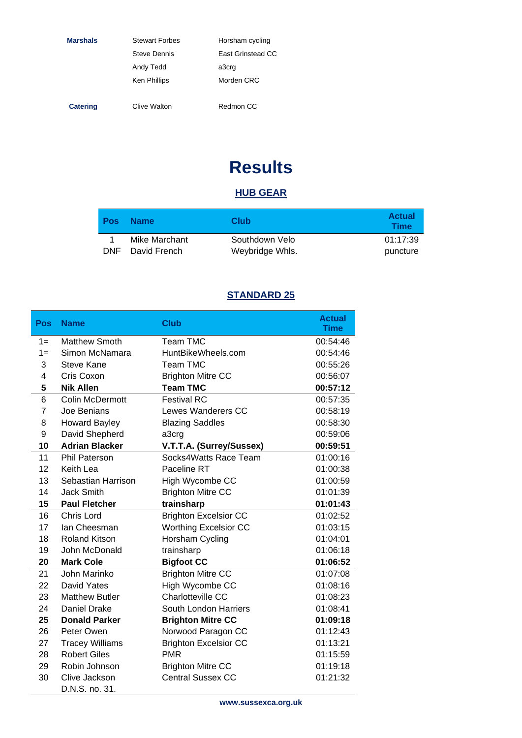| <b>Marshals</b> | <b>Stewart Forbes</b> | Horsham cycling   |
|-----------------|-----------------------|-------------------|
|                 | <b>Steve Dennis</b>   | East Grinstead CC |
|                 | Andy Tedd             | a3crg             |
|                 | <b>Ken Phillips</b>   | Morden CRC        |
|                 |                       |                   |
| <b>Catering</b> | Clive Walton          | Redmon CC         |

# **Results**

## **HUB GEAR**

| <b>Pos</b> | <b>Name</b>   | Club            | <b>Actual</b><br><b>Time</b> |
|------------|---------------|-----------------|------------------------------|
|            | Mike Marchant | Southdown Velo  | 01:17:39                     |
| <b>DNF</b> | David French  | Weybridge Whls. | puncture                     |

# **STANDARD 25**

| Pos   | <b>Name</b>            | <b>Club</b>                  | <b>Actual</b><br><b>Time</b> |
|-------|------------------------|------------------------------|------------------------------|
| $1 =$ | <b>Matthew Smoth</b>   | Team TMC                     | 00:54:46                     |
| $1 =$ | Simon McNamara         | HuntBikeWheels.com           | 00:54:46                     |
| 3     | <b>Steve Kane</b>      | <b>Team TMC</b>              | 00:55:26                     |
| 4     | Cris Coxon             | <b>Brighton Mitre CC</b>     | 00:56:07                     |
| 5     | <b>Nik Allen</b>       | <b>Team TMC</b>              | 00:57:12                     |
| 6     | <b>Colin McDermott</b> | <b>Festival RC</b>           | 00:57:35                     |
| 7     | Joe Benians            | <b>Lewes Wanderers CC</b>    | 00:58:19                     |
| 8     | <b>Howard Bayley</b>   | <b>Blazing Saddles</b>       | 00:58:30                     |
| 9     | David Shepherd         | a3crg                        | 00:59:06                     |
| 10    | <b>Adrian Blacker</b>  | V.T.T.A. (Surrey/Sussex)     | 00:59:51                     |
| 11    | <b>Phil Paterson</b>   | Socks4Watts Race Team        | 01:00:16                     |
| 12    | Keith Lea              | Paceline RT                  | 01:00:38                     |
| 13    | Sebastian Harrison     | High Wycombe CC              | 01:00:59                     |
| 14    | <b>Jack Smith</b>      | <b>Brighton Mitre CC</b>     | 01:01:39                     |
| 15    | <b>Paul Fletcher</b>   | trainsharp                   | 01:01:43                     |
| 16    | Chris Lord             | <b>Brighton Excelsior CC</b> | 01:02:52                     |
| 17    | lan Cheesman           | <b>Worthing Excelsior CC</b> | 01:03:15                     |
| 18    | <b>Roland Kitson</b>   | Horsham Cycling              | 01:04:01                     |
| 19    | John McDonald          | trainsharp                   | 01:06:18                     |
| 20    | <b>Mark Cole</b>       | <b>Bigfoot CC</b>            | 01:06:52                     |
| 21    | John Marinko           | <b>Brighton Mitre CC</b>     | 01:07:08                     |
| 22    | David Yates            | High Wycombe CC              | 01:08:16                     |
| 23    | <b>Matthew Butler</b>  | Charlotteville CC            | 01:08:23                     |
| 24    | Daniel Drake           | South London Harriers        | 01:08:41                     |
| 25    | <b>Donald Parker</b>   | <b>Brighton Mitre CC</b>     | 01:09:18                     |
| 26    | Peter Owen             | Norwood Paragon CC           | 01:12:43                     |
| 27    | <b>Tracey Williams</b> | <b>Brighton Excelsior CC</b> | 01:13:21                     |
| 28    | <b>Robert Giles</b>    | <b>PMR</b>                   | 01:15:59                     |
| 29    | Robin Johnson          | <b>Brighton Mitre CC</b>     | 01:19:18                     |
| 30    | Clive Jackson          | <b>Central Sussex CC</b>     | 01:21:32                     |
|       | D.N.S. no. 31.         |                              |                              |